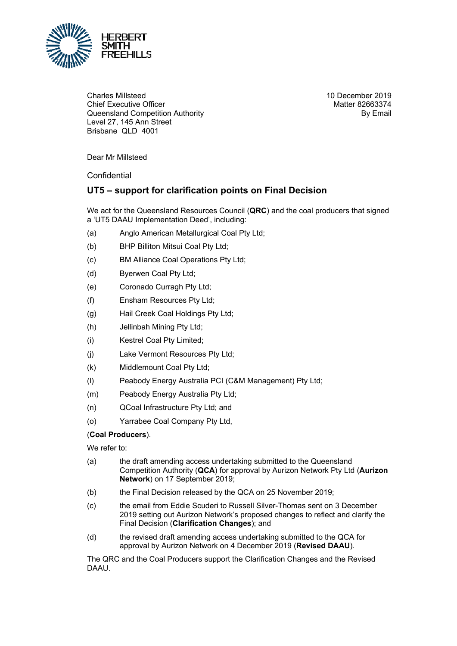

Charles Millsteed Chief Executive Officer Queensland Competition Authority Level 27, 145 Ann Street Brisbane QLD 4001

10 December 2019 Matter 82663374 By Email

Dear Mr Millsteed

Confidential

## **UT5 – support for clarification points on Final Decision**

We act for the Queensland Resources Council (**QRC**) and the coal producers that signed a 'UT5 DAAU Implementation Deed', including:

- (a) Anglo American Metallurgical Coal Pty Ltd;
- (b) BHP Billiton Mitsui Coal Pty Ltd;
- (c) BM Alliance Coal Operations Pty Ltd;
- (d) Byerwen Coal Pty Ltd;
- (e) Coronado Curragh Pty Ltd;
- (f) Ensham Resources Pty Ltd;
- (g) Hail Creek Coal Holdings Pty Ltd;
- (h) Jellinbah Mining Pty Ltd;
- (i) Kestrel Coal Pty Limited;
- (j) Lake Vermont Resources Pty Ltd;
- (k) Middlemount Coal Pty Ltd;
- (l) Peabody Energy Australia PCI (C&M Management) Pty Ltd;
- (m) Peabody Energy Australia Pty Ltd;
- (n) QCoal Infrastructure Pty Ltd; and
- (o) Yarrabee Coal Company Pty Ltd,

## (**Coal Producers**).

We refer to:

- (a) the draft amending access undertaking submitted to the Queensland Competition Authority (**QCA**) for approval by Aurizon Network Pty Ltd (**Aurizon Network**) on 17 September 2019;
- (b) the Final Decision released by the QCA on 25 November 2019;
- (c) the email from Eddie Scuderi to Russell Silver-Thomas sent on 3 December 2019 setting out Aurizon Network's proposed changes to reflect and clarify the Final Decision (**Clarification Changes**); and
- (d) the revised draft amending access undertaking submitted to the QCA for approval by Aurizon Network on 4 December 2019 (**Revised DAAU**).

The QRC and the Coal Producers support the Clarification Changes and the Revised DAAU.